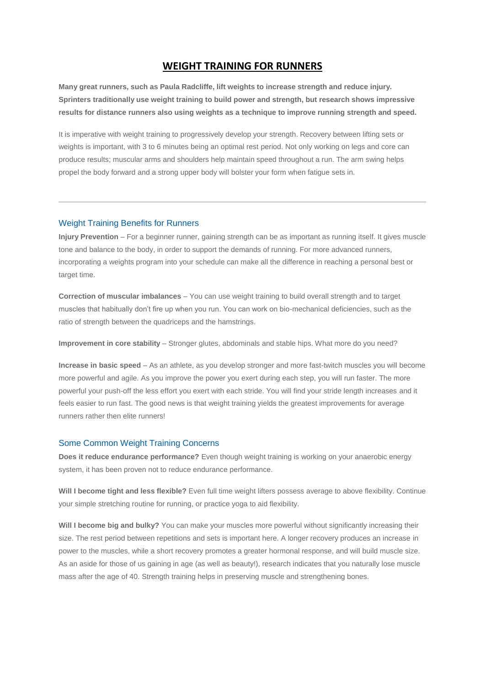## **WEIGHT TRAINING FOR RUNNERS**

**Many great runners, such as Paula Radcliffe, lift weights to increase strength and reduce injury. Sprinters traditionally use weight training to build power and strength, but research shows impressive results for distance runners also using weights as a technique to improve running strength and speed.**

It is imperative with weight training to progressively develop your strength. Recovery between lifting sets or weights is important, with 3 to 6 minutes being an optimal rest period. Not only working on legs and core can produce results; muscular arms and shoulders help maintain speed throughout a run. The arm swing helps propel the body forward and a strong upper body will bolster your form when fatigue sets in.

## Weight Training Benefits for Runners

**Injury Prevention** – For a beginner runner, gaining strength can be as important as running itself. It gives muscle tone and balance to the body, in order to support the demands of running. For more advanced runners, incorporating a weights program into your schedule can make all the difference in reaching a personal best or target time.

**Correction of muscular imbalances** – You can use weight training to build overall strength and to target muscles that habitually don't fire up when you run. You can work on bio-mechanical deficiencies, such as the ratio of strength between the quadriceps and the hamstrings.

**Improvement in core stability** – Stronger glutes, abdominals and stable hips. What more do you need?

**Increase in basic speed** – As an athlete, as you develop stronger and more fast-twitch muscles you will become more powerful and agile. As you improve the power you exert during each step, you will run faster. The more powerful your push-off the less effort you exert with each stride. You will find your stride length increases and it feels easier to run fast. The good news is that weight training yields the greatest improvements for average runners rather then elite runners!

## Some Common Weight Training Concerns

**Does it reduce endurance performance?** Even though weight training is working on your anaerobic energy system, it has been proven not to reduce endurance performance.

**Will I become tight and less flexible?** Even full time weight lifters possess average to above flexibility. Continue your simple stretching routine for running, or practice yoga to aid flexibility.

**Will I become big and bulky?** You can make your muscles more powerful without significantly increasing their size. The rest period between repetitions and sets is important here. A longer recovery produces an increase in power to the muscles, while a short recovery promotes a greater hormonal response, and will build muscle size. As an aside for those of us gaining in age (as well as beauty!), research indicates that you naturally lose muscle mass after the age of 40. Strength training helps in preserving muscle and strengthening bones.